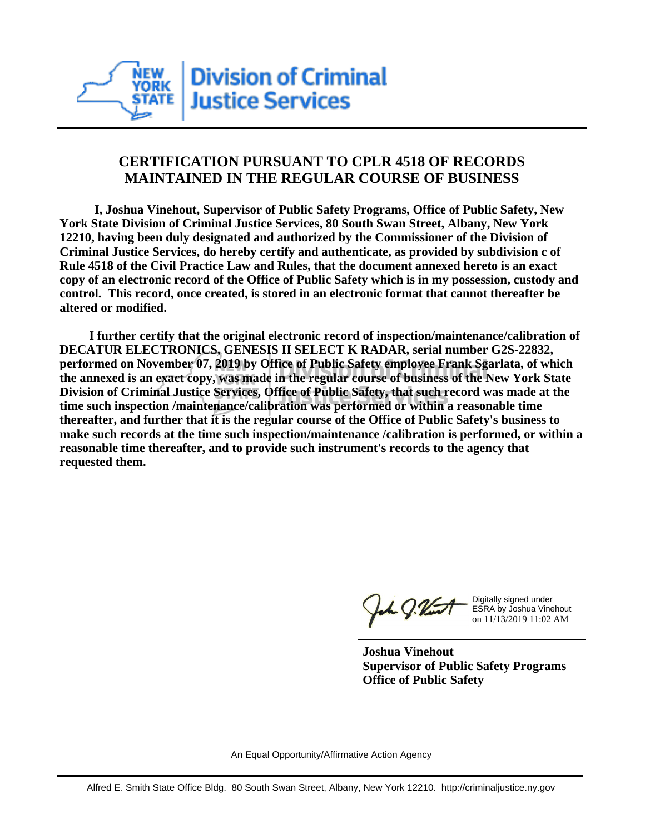

## **CERTIFICATION PURSUANT TO CPLR 4518 OF RECORDS MAINTAINED IN THE REGULAR COURSE OF BUSINESS**

 **I, Joshua Vinehout, Supervisor of Public Safety Programs, Office of Public Safety, New York State Division of Criminal Justice Services, 80 South Swan Street, Albany, New York 12210, having been duly designated and authorized by the Commissioner of the Division of Criminal Justice Services, do hereby certify and authenticate, as provided by subdivision c of Rule 4518 of the Civil Practice Law and Rules, that the document annexed hereto is an exact copy of an electronic record of the Office of Public Safety which is in my possession, custody and control. This record, once created, is stored in an electronic format that cannot thereafter be altered or modified.**

 **I further certify that the original electronic record of inspection/maintenance/calibration of DECATUR ELECTRONICS, GENESIS II SELECT K RADAR, serial number G2S-22832, performed on November 07, 2019 by Office of Public Safety employee Frank Sgarlata, of which the annexed is an exact copy, was made in the regular course of business of the New York State Division of Criminal Justice Services, Office of Public Safety, that such record was made at the time such inspection /maintenance/calibration was performed or within a reasonable time thereafter, and further that it is the regular course of the Office of Public Safety's business to make such records at the time such inspection/maintenance /calibration is performed, or within a reasonable time thereafter, and to provide such instrument's records to the agency that requested them.**

h J.Vint

Digitally signed under ESRA by Joshua Vinehout on 11/13/2019 11:02 AM

**Joshua Vinehout Supervisor of Public Safety Programs Office of Public Safety**

An Equal Opportunity/Affirmative Action Agency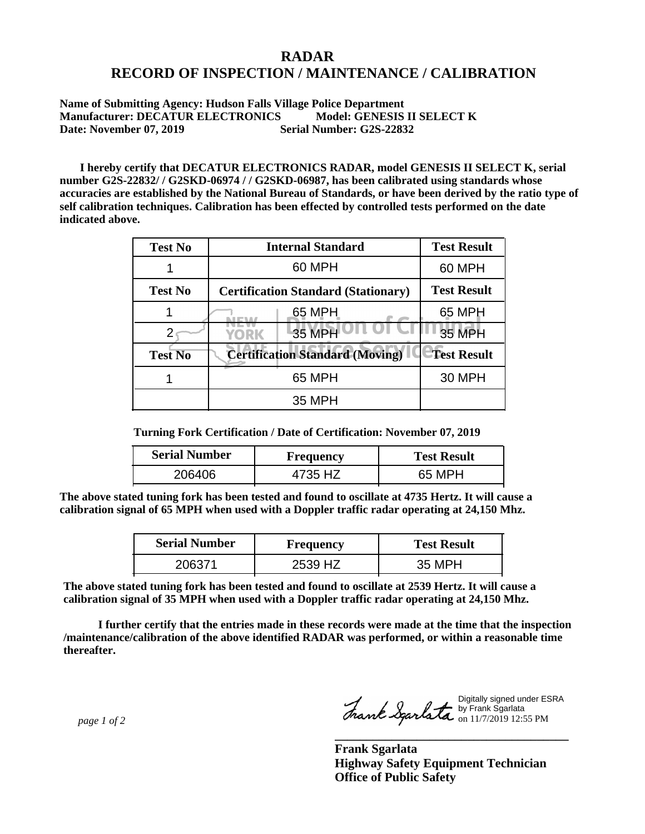## **RADAR RECORD OF INSPECTION / MAINTENANCE / CALIBRATION**

**Name of Submitting Agency: Hudson Falls Village Police Department Manufacturer: DECATUR ELECTRONICS Model: GENESIS II SELECT K Date: November 07, 2019** Serial Number: G2S-22832

 **I hereby certify that DECATUR ELECTRONICS RADAR, model GENESIS II SELECT K, serial number G2S-22832/ / G2SKD-06974 / / G2SKD-06987, has been calibrated using standards whose accuracies are established by the National Bureau of Standards, or have been derived by the ratio type of self calibration techniques. Calibration has been effected by controlled tests performed on the date indicated above.**

| <b>Test No</b> | <b>Internal Standard</b>                   | <b>Test Result</b> |
|----------------|--------------------------------------------|--------------------|
|                | 60 MPH                                     | 60 MPH             |
| <b>Test No</b> | <b>Certification Standard (Stationary)</b> | <b>Test Result</b> |
|                | 65 MPH                                     | 65 MPH             |
|                | 35 MPH<br>YORK                             | 35 MPH             |
| <b>Test No</b> | <b>Certification Standard (Moving)</b>     | <b>Test Result</b> |
|                | 65 MPH                                     | <b>30 MPH</b>      |
|                | 35 MPH                                     |                    |

**Turning Fork Certification / Date of Certification: November 07, 2019**

| <b>Serial Number</b> | <b>Frequency</b> | <b>Test Result</b> |
|----------------------|------------------|--------------------|
| 206406               | 4735 HZ          | 65 MPH             |

**The above stated tuning fork has been tested and found to oscillate at 4735 Hertz. It will cause a calibration signal of 65 MPH when used with a Doppler traffic radar operating at 24,150 Mhz.**

| <b>Serial Number</b> | <b>Frequency</b> | <b>Test Result</b> |
|----------------------|------------------|--------------------|
| <u> 206371 - </u>    | 2539 HZ          | 35 MPH             |

**The above stated tuning fork has been tested and found to oscillate at 2539 Hertz. It will cause a calibration signal of 35 MPH when used with a Doppler traffic radar operating at 24,150 Mhz.**

 **I further certify that the entries made in these records were made at the time that the inspection /maintenance/calibration of the above identified RADAR was performed, or within a reasonable time thereafter.**

 *page 1 of 2* 

Digitally signed under ESRA by Frank Sgarlata on 11/7/2019 12:55 PM

**\_\_\_\_\_\_\_\_\_\_\_\_\_\_\_\_\_\_\_\_\_\_\_\_\_\_\_\_\_\_\_\_\_\_\_\_\_**

**Frank Sgarlata Highway Safety Equipment Technician Office of Public Safety**